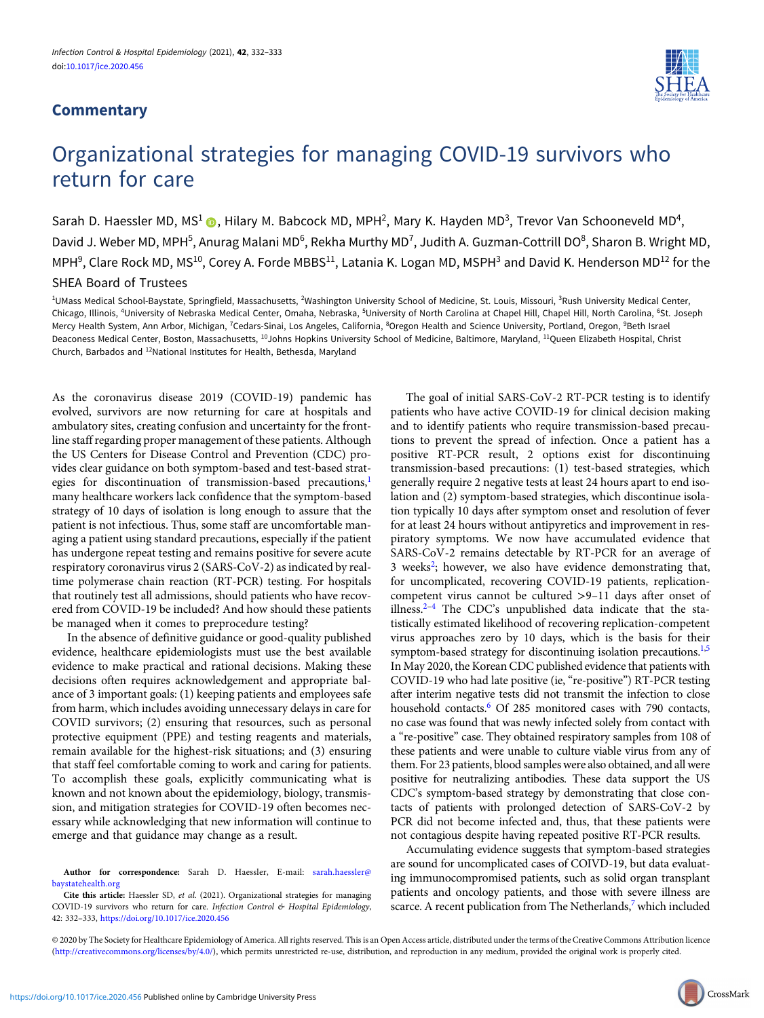## **Commentary**



## Organizational strategies for managing COVID-19 survivors who return for care

Sarah D. Haessler MD, MS<sup>1</sup> (D), Hilary M. Babcock MD, MPH<sup>2</sup>, Mary K. Hayden MD<sup>3</sup>, Trevor Van Schooneveld MD<sup>4</sup>, David J. Weber MD, MPH<sup>5</sup>, Anurag Malani MD<sup>6</sup>, Rekha Murthy MD<sup>7</sup>, Judith A. Guzman-Cottrill DO<sup>8</sup>, Sharon B. Wright MD, MPH $^9$ , Clare Rock MD, MS $^{10}$ , Corey A. Forde MBBS $^{11}$ , Latania K. Logan MD, MSPH $^3$  and David K. Henderson MD $^{12}$  for the

SHEA Board of Trustees

<sup>1</sup>UMass Medical School-Baystate, Springfield, Massachusetts, <sup>2</sup>Washington University School of Medicine, St. Louis, Missouri, <sup>3</sup>Rush University Medical Center, Chicago, Illinois, <sup>4</sup>University of Nebraska Medical Center, Omaha, Nebraska, <sup>5</sup>University of North Carolina at Chapel Hill, Chapel Hill, North Carolina, <sup>6</sup>St. Joseph Mercy Health System, Ann Arbor, Michigan, <sup>7</sup>Cedars-Sinai, Los Angeles, California, <sup>8</sup>Oregon Health and Science University, Portland, Oregon, <sup>9</sup>Beth Israel Deaconess Medical Center, Boston, Massachusetts, 10Johns Hopkins University School of Medicine, Baltimore, Maryland, 11Queen Elizabeth Hospital, Christ Church, Barbados and 12National Institutes for Health, Bethesda, Maryland

As the coronavirus disease 2019 (COVID-19) pandemic has evolved, survivors are now returning for care at hospitals and ambulatory sites, creating confusion and uncertainty for the frontline staff regarding proper management of these patients. Although the US Centers for Disease Control and Prevention (CDC) provides clear guidance on both symptom-based and test-based strategies for discontinuation of transmission-based precautions,<sup>1</sup> many healthcare workers lack confidence that the symptom-based strategy of 10 days of isolation is long enough to assure that the patient is not infectious. Thus, some staff are uncomfortable managing a patient using standard precautions, especially if the patient has undergone repeat testing and remains positive for severe acute respiratory coronavirus virus 2 (SARS-CoV-2) as indicated by realtime polymerase chain reaction (RT-PCR) testing. For hospitals that routinely test all admissions, should patients who have recovered from COVID-19 be included? And how should these patients be managed when it comes to preprocedure testing?

In the absence of definitive guidance or good-quality published evidence, healthcare epidemiologists must use the best available evidence to make practical and rational decisions. Making these decisions often requires acknowledgement and appropriate balance of 3 important goals: (1) keeping patients and employees safe from harm, which includes avoiding unnecessary delays in care for COVID survivors; (2) ensuring that resources, such as personal protective equipment (PPE) and testing reagents and materials, remain available for the highest-risk situations; and (3) ensuring that staff feel comfortable coming to work and caring for patients. To accomplish these goals, explicitly communicating what is known and not known about the epidemiology, biology, transmission, and mitigation strategies for COVID-19 often becomes necessary while acknowledging that new information will continue to emerge and that guidance may change as a result.

Author for correspondence: Sarah D. Haessler, E-mail: [sarah.haessler@](mailto:sarah.haessler@baystatehealth.org) [baystatehealth.org](mailto:sarah.haessler@baystatehealth.org)

Cite this article: Haessler SD, et al. (2021). Organizational strategies for managing COVID-19 survivors who return for care. Infection Control & Hospital Epidemiology, 42: 332–333, <https://doi.org/10.1017/ice.2020.456>

The goal of initial SARS-CoV-2 RT-PCR testing is to identify patients who have active COVID-19 for clinical decision making and to identify patients who require transmission-based precautions to prevent the spread of infection. Once a patient has a positive RT-PCR result, 2 options exist for discontinuing transmission-based precautions: (1) test-based strategies, which generally require 2 negative tests at least 24 hours apart to end isolation and (2) symptom-based strategies, which discontinue isolation typically 10 days after symptom onset and resolution of fever for at least 24 hours without antipyretics and improvement in respiratory symptoms. We now have accumulated evidence that SARS-CoV-2 remains detectable by RT-PCR for an average of 3 weeks<sup>[2](#page-1-0)</sup>; however, we also have evidence demonstrating that, for uncomplicated, recovering COVID-19 patients, replicationcompetent virus cannot be cultured >9–11 days after onset of illness.[2](#page-1-0)–[4](#page-1-0) The CDC's unpublished data indicate that the statistically estimated likelihood of recovering replication-competent virus approaches zero by 10 days, which is the basis for their symptom-based strategy for discontinuing isolation precautions.<sup>[1,5](#page-1-0)</sup> In May 2020, the Korean CDC published evidence that patients with COVID-19 who had late positive (ie, "re-positive") RT-PCR testing after interim negative tests did not transmit the infection to close household contacts.<sup>6</sup> Of 285 monitored cases with 790 contacts, no case was found that was newly infected solely from contact with a "re-positive" case. They obtained respiratory samples from 108 of these patients and were unable to culture viable virus from any of them. For 23 patients, blood samples were also obtained, and all were positive for neutralizing antibodies. These data support the US CDC's symptom-based strategy by demonstrating that close contacts of patients with prolonged detection of SARS-CoV-2 by PCR did not become infected and, thus, that these patients were not contagious despite having repeated positive RT-PCR results.

Accumulating evidence suggests that symptom-based strategies are sound for uncomplicated cases of COIVD-19, but data evaluating immunocompromised patients, such as solid organ transplant patients and oncology patients, and those with severe illness are scarce. A recent publication from The Netherlands,<sup>7</sup> which included

© 2020 by The Society for Healthcare Epidemiology of America. All rights reserved. This is an Open Access article, distributed under the terms of the Creative Commons Attribution licence ([http://creativecommons.org/licenses/by/4.0/\)](http://creativecommons.org/licenses/by/4.0/), which permits unrestricted re-use, distribution, and reproduction in any medium, provided the original work is properly cited.